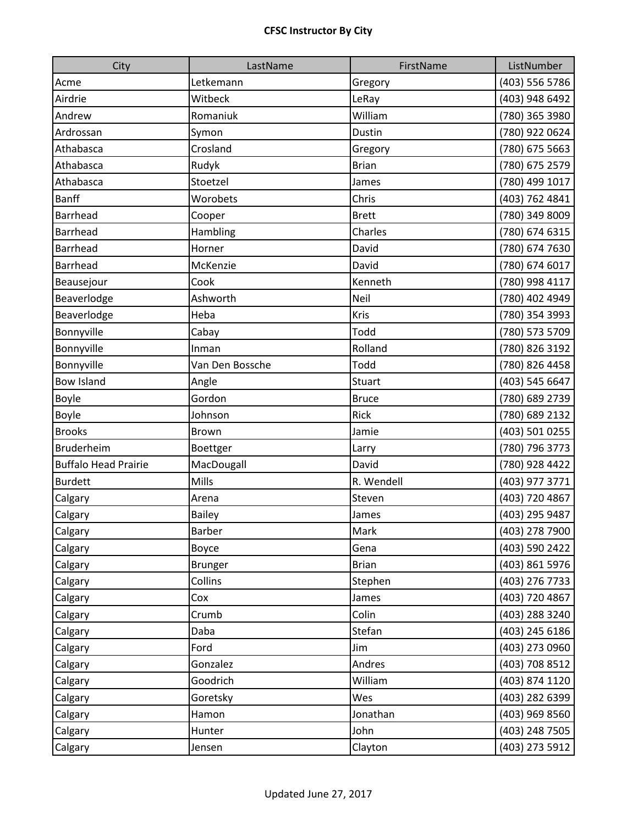| City                        | LastName        | FirstName    | ListNumber     |
|-----------------------------|-----------------|--------------|----------------|
| Acme                        | Letkemann       | Gregory      | (403) 556 5786 |
| Airdrie                     | Witbeck         | LeRay        | (403) 948 6492 |
| Andrew                      | Romaniuk        | William      | (780) 365 3980 |
| Ardrossan                   | Symon           | Dustin       | (780) 922 0624 |
| Athabasca                   | Crosland        | Gregory      | (780) 675 5663 |
| Athabasca                   | Rudyk           | <b>Brian</b> | (780) 675 2579 |
| Athabasca                   | Stoetzel        | James        | (780) 499 1017 |
| <b>Banff</b>                | Worobets        | Chris        | (403) 762 4841 |
| Barrhead                    | Cooper          | <b>Brett</b> | (780) 349 8009 |
| <b>Barrhead</b>             | Hambling        | Charles      | (780) 674 6315 |
| <b>Barrhead</b>             | Horner          | David        | (780) 674 7630 |
| Barrhead                    | McKenzie        | David        | (780) 674 6017 |
| Beausejour                  | Cook            | Kenneth      | (780) 998 4117 |
| Beaverlodge                 | Ashworth        | Neil         | (780) 402 4949 |
| Beaverlodge                 | Heba            | Kris         | (780) 354 3993 |
| Bonnyville                  | Cabay           | Todd         | (780) 573 5709 |
| Bonnyville                  | Inman           | Rolland      | (780) 826 3192 |
| Bonnyville                  | Van Den Bossche | Todd         | (780) 826 4458 |
| <b>Bow Island</b>           | Angle           | Stuart       | (403) 545 6647 |
| Boyle                       | Gordon          | <b>Bruce</b> | (780) 689 2739 |
| Boyle                       | Johnson         | Rick         | (780) 689 2132 |
| <b>Brooks</b>               | Brown           | Jamie        | (403) 501 0255 |
| Bruderheim                  | Boettger        | Larry        | (780) 796 3773 |
| <b>Buffalo Head Prairie</b> | MacDougall      | David        | (780) 928 4422 |
| <b>Burdett</b>              | Mills           | R. Wendell   | (403) 977 3771 |
| Calgary                     | Arena           | Steven       | (403) 720 4867 |
| Calgary                     | Bailey          | James        | (403) 295 9487 |
| Calgary                     | Barber          | Mark         | (403) 278 7900 |
| Calgary                     | Boyce           | Gena         | (403) 590 2422 |
| Calgary                     | <b>Brunger</b>  | <b>Brian</b> | (403) 861 5976 |
| Calgary                     | Collins         | Stephen      | (403) 276 7733 |
| Calgary                     | Cox             | James        | (403) 720 4867 |
| Calgary                     | Crumb           | Colin        | (403) 288 3240 |
| Calgary                     | Daba            | Stefan       | (403) 245 6186 |
| Calgary                     | Ford            | Jim          | (403) 273 0960 |
| Calgary                     | Gonzalez        | Andres       | (403) 708 8512 |
| Calgary                     | Goodrich        | William      | (403) 874 1120 |
| Calgary                     | Goretsky        | Wes          | (403) 282 6399 |
| Calgary                     | Hamon           | Jonathan     | (403) 969 8560 |
| Calgary                     | Hunter          | John         | (403) 248 7505 |
| Calgary                     | Jensen          | Clayton      | (403) 273 5912 |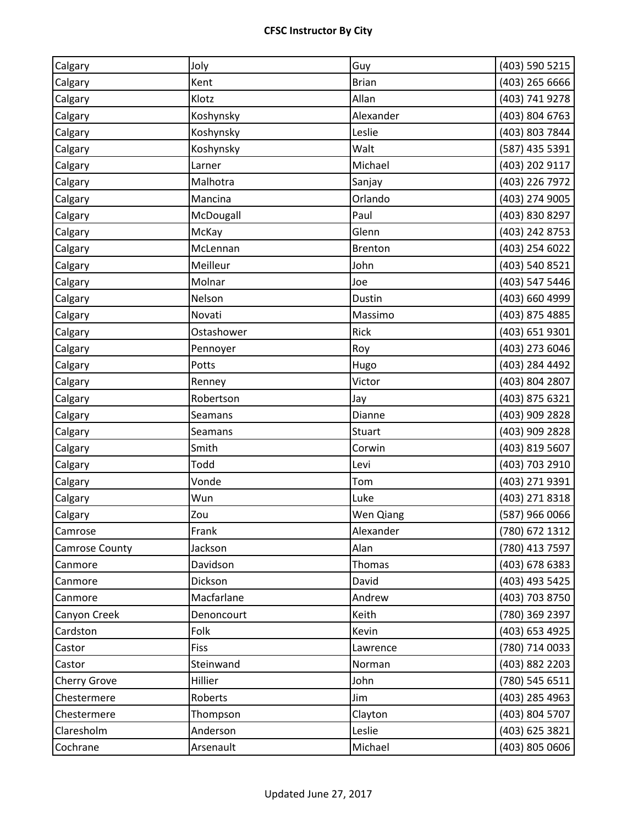| Calgary        | Joly        | Guy            | (403) 590 5215 |
|----------------|-------------|----------------|----------------|
| Calgary        | Kent        | <b>Brian</b>   | (403) 265 6666 |
| Calgary        | Klotz       | Allan          | (403) 741 9278 |
| Calgary        | Koshynsky   | Alexander      | (403) 804 6763 |
| Calgary        | Koshynsky   | Leslie         | (403) 803 7844 |
| Calgary        | Koshynsky   | Walt           | (587) 435 5391 |
| Calgary        | Larner      | Michael        | (403) 202 9117 |
| Calgary        | Malhotra    | Sanjay         | (403) 226 7972 |
| Calgary        | Mancina     | Orlando        | (403) 274 9005 |
| Calgary        | McDougall   | Paul           | (403) 830 8297 |
| Calgary        | McKay       | Glenn          | (403) 242 8753 |
| Calgary        | McLennan    | <b>Brenton</b> | (403) 254 6022 |
| Calgary        | Meilleur    | John           | (403) 540 8521 |
| Calgary        | Molnar      | Joe            | (403) 547 5446 |
| Calgary        | Nelson      | Dustin         | (403) 660 4999 |
| Calgary        | Novati      | Massimo        | (403) 875 4885 |
| Calgary        | Ostashower  | Rick           | (403) 651 9301 |
| Calgary        | Pennoyer    | Roy            | (403) 273 6046 |
| Calgary        | Potts       | Hugo           | (403) 284 4492 |
| Calgary        | Renney      | Victor         | (403) 804 2807 |
| Calgary        | Robertson   | Jay            | (403) 875 6321 |
| Calgary        | Seamans     | Dianne         | (403) 909 2828 |
| Calgary        | Seamans     | <b>Stuart</b>  | (403) 909 2828 |
| Calgary        | Smith       | Corwin         | (403) 819 5607 |
| Calgary        | Todd        | Levi           | (403) 703 2910 |
| Calgary        | Vonde       | Tom            | (403) 271 9391 |
| Calgary        | Wun         | Luke           | (403) 271 8318 |
| Calgary        | Zou         | Wen Qiang      | (587) 966 0066 |
| Camrose        | Frank       | Alexander      | (780) 672 1312 |
| Camrose County | Jackson     | Alan           | (780) 413 7597 |
| Canmore        | Davidson    | Thomas         | (403) 678 6383 |
| Canmore        | Dickson     | David          | (403) 493 5425 |
| Canmore        | Macfarlane  | Andrew         | (403) 703 8750 |
| Canyon Creek   | Denoncourt  | Keith          | (780) 369 2397 |
| Cardston       | Folk        | Kevin          | (403) 653 4925 |
| Castor         | <b>Fiss</b> | Lawrence       | (780) 714 0033 |
| Castor         | Steinwand   | Norman         | (403) 882 2203 |
| Cherry Grove   | Hillier     | John           | (780) 545 6511 |
| Chestermere    | Roberts     | Jim            | (403) 285 4963 |
| Chestermere    | Thompson    | Clayton        | (403) 804 5707 |
| Claresholm     | Anderson    | Leslie         | (403) 625 3821 |
| Cochrane       | Arsenault   | Michael        | (403) 805 0606 |
|                |             |                |                |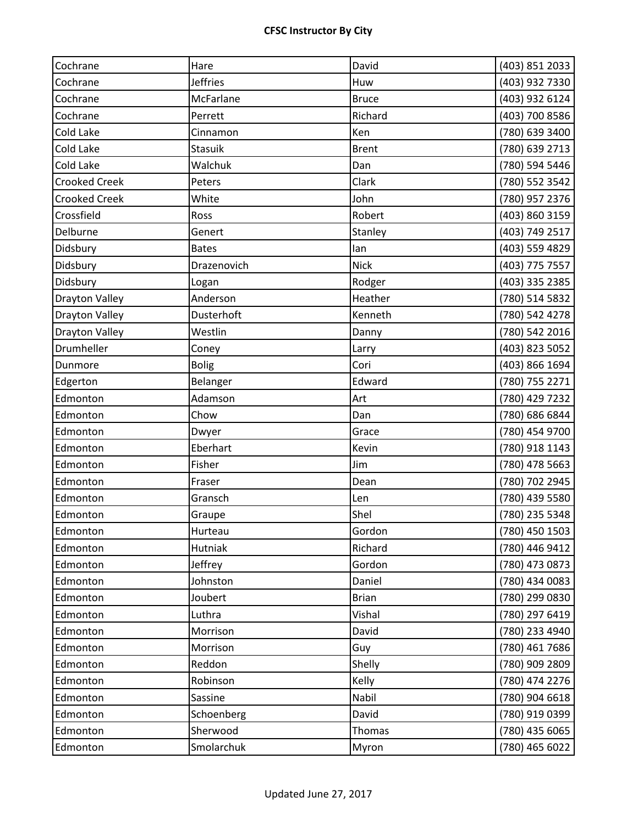| Cochrane              | Hare            | David        | (403) 851 2033 |
|-----------------------|-----------------|--------------|----------------|
| Cochrane              | <b>Jeffries</b> | Huw          | (403) 932 7330 |
| Cochrane              | McFarlane       | <b>Bruce</b> | (403) 932 6124 |
| Cochrane              | Perrett         | Richard      | (403) 700 8586 |
| Cold Lake             | Cinnamon        | Ken          | (780) 639 3400 |
| Cold Lake             | <b>Stasuik</b>  | <b>Brent</b> | (780) 639 2713 |
| Cold Lake             | Walchuk         | Dan          | (780) 594 5446 |
| <b>Crooked Creek</b>  | Peters          | Clark        | (780) 552 3542 |
| <b>Crooked Creek</b>  | White           | John         | (780) 957 2376 |
| Crossfield            | Ross            | Robert       | (403) 860 3159 |
| Delburne              | Genert          | Stanley      | (403) 749 2517 |
| Didsbury              | <b>Bates</b>    | lan          | (403) 559 4829 |
| Didsbury              | Drazenovich     | <b>Nick</b>  | (403) 775 7557 |
| Didsbury              | Logan           | Rodger       | (403) 335 2385 |
| <b>Drayton Valley</b> | Anderson        | Heather      | (780) 514 5832 |
| <b>Drayton Valley</b> | Dusterhoft      | Kenneth      | (780) 542 4278 |
| <b>Drayton Valley</b> | Westlin         | Danny        | (780) 542 2016 |
| Drumheller            | Coney           | Larry        | (403) 823 5052 |
| Dunmore               | <b>Bolig</b>    | Cori         | (403) 866 1694 |
| Edgerton              | Belanger        | Edward       | (780) 755 2271 |
| Edmonton              | Adamson         | Art          | (780) 429 7232 |
| Edmonton              | Chow            | Dan          | (780) 686 6844 |
| Edmonton              | Dwyer           | Grace        | (780) 454 9700 |
| Edmonton              | Eberhart        | Kevin        | (780) 918 1143 |
| Edmonton              | Fisher          | Jim          | (780) 478 5663 |
| Edmonton              | Fraser          | Dean         | (780) 702 2945 |
| Edmonton              | Gransch         | Len          | (780) 439 5580 |
| Edmonton              | Graupe          | Shel         | (780) 235 5348 |
| Edmonton              | Hurteau         | Gordon       | (780) 450 1503 |
| Edmonton              | Hutniak         | Richard      | (780) 446 9412 |
| Edmonton              | Jeffrey         | Gordon       | (780) 473 0873 |
| Edmonton              | Johnston        | Daniel       | (780) 434 0083 |
| Edmonton              | Joubert         | <b>Brian</b> | (780) 299 0830 |
| Edmonton              | Luthra          | Vishal       | (780) 297 6419 |
| Edmonton              | Morrison        | David        | (780) 233 4940 |
| Edmonton              | Morrison        | Guy          | (780) 461 7686 |
| Edmonton              | Reddon          | Shelly       | (780) 909 2809 |
| Edmonton              | Robinson        | Kelly        | (780) 474 2276 |
| Edmonton              | Sassine         | Nabil        | (780) 904 6618 |
| Edmonton              | Schoenberg      | David        | (780) 919 0399 |
| Edmonton              | Sherwood        | Thomas       | (780) 435 6065 |
| Edmonton              | Smolarchuk      | Myron        | (780) 465 6022 |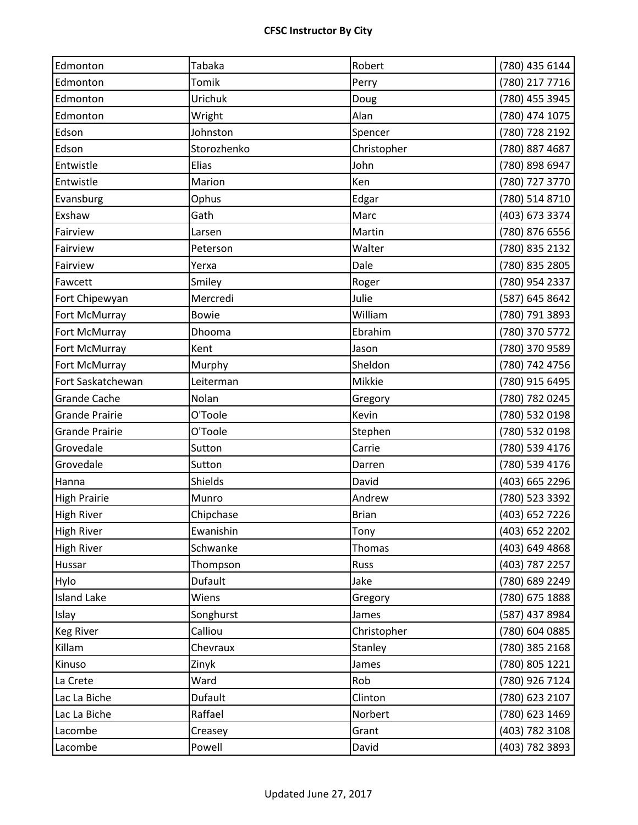| Edmonton              | Tabaka       | Robert       | (780) 435 6144 |
|-----------------------|--------------|--------------|----------------|
| Edmonton              | Tomik        | Perry        | (780) 217 7716 |
| Edmonton              | Urichuk      | Doug         | (780) 455 3945 |
| Edmonton              | Wright       | Alan         | (780) 474 1075 |
| Edson                 | Johnston     | Spencer      | (780) 728 2192 |
| Edson                 | Storozhenko  | Christopher  | (780) 887 4687 |
| Entwistle             | Elias        | John         | (780) 898 6947 |
| Entwistle             | Marion       | Ken          | (780) 727 3770 |
| Evansburg             | Ophus        | Edgar        | (780) 514 8710 |
| Exshaw                | Gath         | Marc         | (403) 673 3374 |
| Fairview              | Larsen       | Martin       | (780) 876 6556 |
| Fairview              | Peterson     | Walter       | (780) 835 2132 |
| Fairview              | Yerxa        | Dale         | (780) 835 2805 |
| Fawcett               | Smiley       | Roger        | (780) 954 2337 |
| Fort Chipewyan        | Mercredi     | Julie        | (587) 645 8642 |
| Fort McMurray         | <b>Bowie</b> | William      | (780) 791 3893 |
| Fort McMurray         | Dhooma       | Ebrahim      | (780) 370 5772 |
| Fort McMurray         | Kent         | Jason        | (780) 370 9589 |
| Fort McMurray         | Murphy       | Sheldon      | (780) 742 4756 |
| Fort Saskatchewan     | Leiterman    | Mikkie       | (780) 915 6495 |
| <b>Grande Cache</b>   | Nolan        | Gregory      | (780) 782 0245 |
| <b>Grande Prairie</b> | O'Toole      | Kevin        | (780) 532 0198 |
| <b>Grande Prairie</b> | O'Toole      | Stephen      | (780) 532 0198 |
| Grovedale             | Sutton       | Carrie       | (780) 539 4176 |
| Grovedale             | Sutton       | Darren       | (780) 539 4176 |
| Hanna                 | Shields      | David        | (403) 665 2296 |
| <b>High Prairie</b>   | Munro        | Andrew       | (780) 523 3392 |
| <b>High River</b>     | Chipchase    | <b>Brian</b> | (403) 652 7226 |
| <b>High River</b>     | Ewanishin    | Tony         | (403) 652 2202 |
| <b>High River</b>     | Schwanke     | Thomas       | (403) 649 4868 |
| Hussar                | Thompson     | Russ         | (403) 787 2257 |
| Hylo                  | Dufault      | Jake         | (780) 689 2249 |
| <b>Island Lake</b>    | Wiens        | Gregory      | (780) 675 1888 |
| Islay                 | Songhurst    | James        | (587) 437 8984 |
| <b>Keg River</b>      | Calliou      | Christopher  | (780) 604 0885 |
| Killam                | Chevraux     | Stanley      | (780) 385 2168 |
| Kinuso                | Zinyk        | James        | (780) 805 1221 |
| La Crete              | Ward         | Rob          | (780) 926 7124 |
| Lac La Biche          | Dufault      | Clinton      | (780) 623 2107 |
| Lac La Biche          | Raffael      | Norbert      | (780) 623 1469 |
| Lacombe               | Creasey      | Grant        | (403) 782 3108 |
| Lacombe               | Powell       | David        | (403) 782 3893 |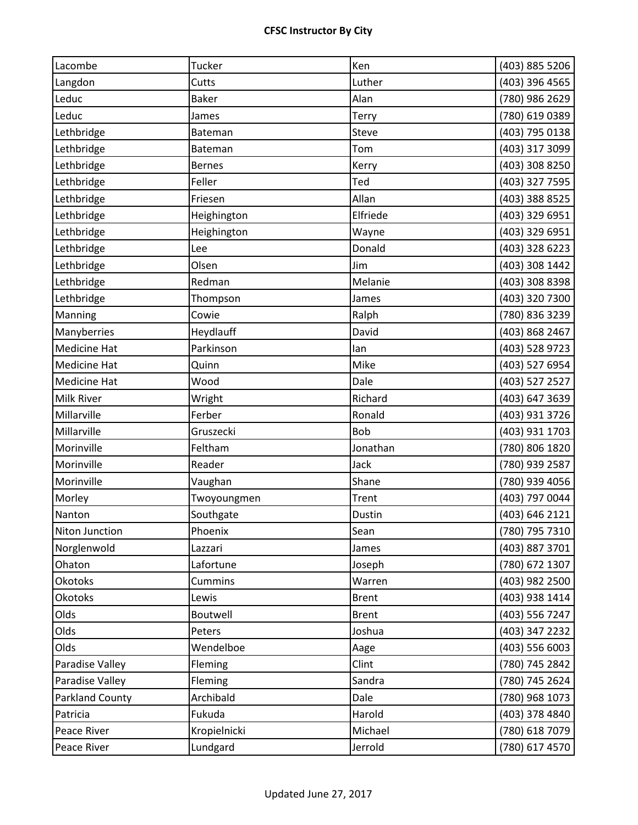| Lacombe                | Tucker         | Ken          | (403) 885 5206 |
|------------------------|----------------|--------------|----------------|
| Langdon                | Cutts          | Luther       | (403) 396 4565 |
| Leduc                  | <b>Baker</b>   | Alan         | (780) 986 2629 |
| Leduc                  | James          | Terry        | (780) 619 0389 |
| Lethbridge             | Bateman        | Steve        | (403) 795 0138 |
| Lethbridge             | <b>Bateman</b> | Tom          | (403) 317 3099 |
| Lethbridge             | <b>Bernes</b>  | Kerry        | (403) 308 8250 |
| Lethbridge             | Feller         | Ted          | (403) 327 7595 |
| Lethbridge             | Friesen        | Allan        | (403) 388 8525 |
| Lethbridge             | Heighington    | Elfriede     | (403) 329 6951 |
| Lethbridge             | Heighington    | Wayne        | (403) 329 6951 |
| Lethbridge             | Lee            | Donald       | (403) 328 6223 |
| Lethbridge             | Olsen          | Jim          | (403) 308 1442 |
| Lethbridge             | Redman         | Melanie      | (403) 308 8398 |
| Lethbridge             | Thompson       | James        | (403) 320 7300 |
| Manning                | Cowie          | Ralph        | (780) 836 3239 |
| Manyberries            | Heydlauff      | David        | (403) 868 2467 |
| <b>Medicine Hat</b>    | Parkinson      | lan          | (403) 528 9723 |
| <b>Medicine Hat</b>    | Quinn          | Mike         | (403) 527 6954 |
| <b>Medicine Hat</b>    | Wood           | Dale         | (403) 527 2527 |
| <b>Milk River</b>      | Wright         | Richard      | (403) 647 3639 |
| Millarville            | Ferber         | Ronald       | (403) 931 3726 |
| Millarville            | Gruszecki      | <b>Bob</b>   | (403) 931 1703 |
| Morinville             | Feltham        | Jonathan     | (780) 806 1820 |
| Morinville             | Reader         | Jack         | (780) 939 2587 |
| Morinville             | Vaughan        | Shane        | (780) 939 4056 |
| Morley                 | Twoyoungmen    | Trent        | (403) 797 0044 |
| Nanton                 | Southgate      | Dustin       | (403) 646 2121 |
| Niton Junction         | Phoenix        | Sean         | (780) 795 7310 |
| Norglenwold            | Lazzari        | James        | (403) 887 3701 |
| Ohaton                 | Lafortune      | Joseph       | (780) 672 1307 |
| <b>Okotoks</b>         | Cummins        | Warren       | (403) 982 2500 |
| <b>Okotoks</b>         | Lewis          | <b>Brent</b> | (403) 938 1414 |
| Olds                   | Boutwell       | <b>Brent</b> | (403) 556 7247 |
| Olds                   | Peters         | Joshua       | (403) 347 2232 |
| Olds                   | Wendelboe      | Aage         | (403) 556 6003 |
| Paradise Valley        | Fleming        | Clint        | (780) 745 2842 |
| Paradise Valley        | Fleming        | Sandra       | (780) 745 2624 |
| <b>Parkland County</b> | Archibald      | Dale         | (780) 968 1073 |
| Patricia               | Fukuda         | Harold       | (403) 378 4840 |
| Peace River            | Kropielnicki   | Michael      | (780) 618 7079 |
| Peace River            | Lundgard       | Jerrold      | (780) 617 4570 |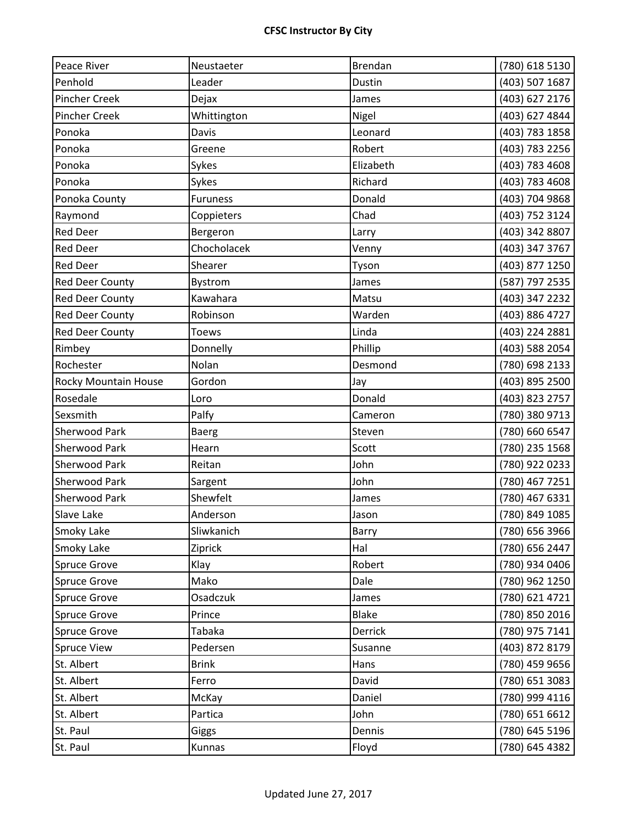| Peace River            | Neustaeter      | Brendan      | (780) 618 5130 |
|------------------------|-----------------|--------------|----------------|
| Penhold                | Leader          | Dustin       | (403) 507 1687 |
| <b>Pincher Creek</b>   | Dejax           | James        | (403) 627 2176 |
| <b>Pincher Creek</b>   | Whittington     | Nigel        | (403) 627 4844 |
| Ponoka                 | Davis           | Leonard      | (403) 783 1858 |
| Ponoka                 | Greene          | Robert       | (403) 783 2256 |
| Ponoka                 | Sykes           | Elizabeth    | (403) 783 4608 |
| Ponoka                 | Sykes           | Richard      | (403) 783 4608 |
| Ponoka County          | <b>Furuness</b> | Donald       | (403) 704 9868 |
| Raymond                | Coppieters      | Chad         | (403) 752 3124 |
| <b>Red Deer</b>        | Bergeron        | Larry        | (403) 342 8807 |
| <b>Red Deer</b>        | Chocholacek     | Venny        | (403) 347 3767 |
| <b>Red Deer</b>        | Shearer         | Tyson        | (403) 877 1250 |
| <b>Red Deer County</b> | Bystrom         | James        | (587) 797 2535 |
| <b>Red Deer County</b> | Kawahara        | Matsu        | (403) 347 2232 |
| <b>Red Deer County</b> | Robinson        | Warden       | (403) 886 4727 |
| <b>Red Deer County</b> | <b>Toews</b>    | Linda        | (403) 224 2881 |
| Rimbey                 | Donnelly        | Phillip      | (403) 588 2054 |
| Rochester              | Nolan           | Desmond      | (780) 698 2133 |
| Rocky Mountain House   | Gordon          | Jay          | (403) 895 2500 |
| Rosedale               | Loro            | Donald       | (403) 823 2757 |
| Sexsmith               | Palfy           | Cameron      | (780) 380 9713 |
| <b>Sherwood Park</b>   | <b>Baerg</b>    | Steven       | (780) 660 6547 |
| <b>Sherwood Park</b>   | Hearn           | Scott        | (780) 235 1568 |
| <b>Sherwood Park</b>   | Reitan          | John         | (780) 922 0233 |
| <b>Sherwood Park</b>   | Sargent         | John         | (780) 467 7251 |
| <b>Sherwood Park</b>   | Shewfelt        | James        | (780) 467 6331 |
| <b>Slave Lake</b>      | Anderson        | Jason        | (780) 849 1085 |
| Smoky Lake             | Sliwkanich      | Barry        | (780) 656 3966 |
| Smoky Lake             | Ziprick         | Hal          | (780) 656 2447 |
| <b>Spruce Grove</b>    | Klay            | Robert       | (780) 934 0406 |
| <b>Spruce Grove</b>    | Mako            | Dale         | (780) 962 1250 |
| <b>Spruce Grove</b>    | Osadczuk        | James        | (780) 621 4721 |
| <b>Spruce Grove</b>    | Prince          | <b>Blake</b> | (780) 850 2016 |
| <b>Spruce Grove</b>    | Tabaka          | Derrick      | (780) 975 7141 |
| <b>Spruce View</b>     | Pedersen        | Susanne      | (403) 872 8179 |
| St. Albert             | <b>Brink</b>    | Hans         | (780) 459 9656 |
| St. Albert             | Ferro           | David        | (780) 651 3083 |
| St. Albert             | McKay           | Daniel       | (780) 999 4116 |
| St. Albert             | Partica         | John         | (780) 651 6612 |
| St. Paul               | Giggs           | Dennis       | (780) 645 5196 |
| St. Paul               | Kunnas          | Floyd        | (780) 645 4382 |